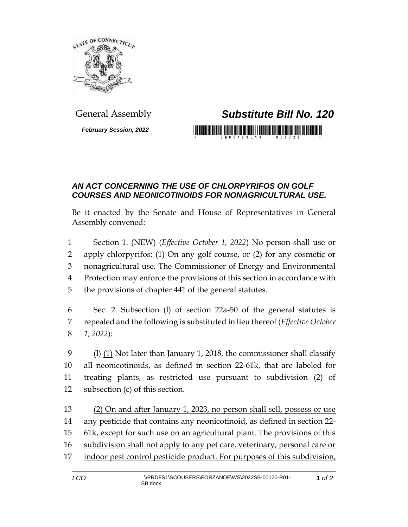

*February Session, 2022*

## General Assembly *Substitute Bill No. 120*

<u> III bilin bilin bilin bilin bilin bilin bilin bilin bilin bilin bilin bilin bilin bilin bilin bilin bilin bi</u>

## *AN ACT CONCERNING THE USE OF CHLORPYRIFOS ON GOLF COURSES AND NEONICOTINOIDS FOR NONAGRICULTURAL USE.*

Be it enacted by the Senate and House of Representatives in General Assembly convened:

 Section 1. (NEW) (*Effective October 1, 2022*) No person shall use or apply chlorpyrifos: (1) On any golf course, or (2) for any cosmetic or nonagricultural use. The Commissioner of Energy and Environmental Protection may enforce the provisions of this section in accordance with the provisions of chapter 441 of the general statutes.

6 Sec. 2. Subsection (l) of section 22a-50 of the general statutes is 7 repealed and the following is substituted in lieu thereof (*Effective October*  8 *1, 2022*):

9 (l)  $(1)$  Not later than January 1, 2018, the commissioner shall classify all neonicotinoids, as defined in section 22-61k, that are labeled for treating plants, as restricted use pursuant to subdivision (2) of subsection (c) of this section.

 (2) On and after January 1, 2023, no person shall sell, possess or use any pesticide that contains any neonicotinoid, as defined in section 22- 61k, except for such use on an agricultural plant. The provisions of this subdivision shall not apply to any pet care, veterinary, personal care or 17 indoor pest control pesticide product. For purposes of this subdivision,